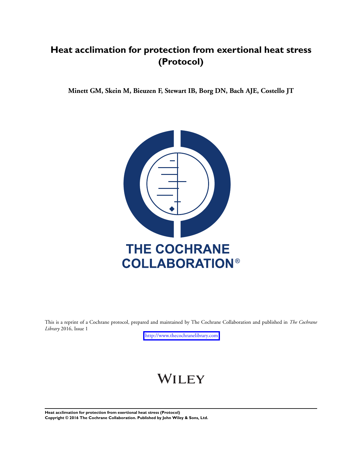# **Heat acclimation for protection from exertional heat stress (Protocol)**

**Minett GM, Skein M, Bieuzen F, Stewart IB, Borg DN, Bach AJE, Costello JT**



This is a reprint of a Cochrane protocol, prepared and maintained by The Cochrane Collaboration and published in *The Cochrane Library* 2016, Issue 1

<http://www.thecochranelibrary.com>

# WILEY

**Heat acclimation for protection from exertional heat stress (Protocol) Copyright © 2016 The Cochrane Collaboration. Published by John Wiley & Sons, Ltd.**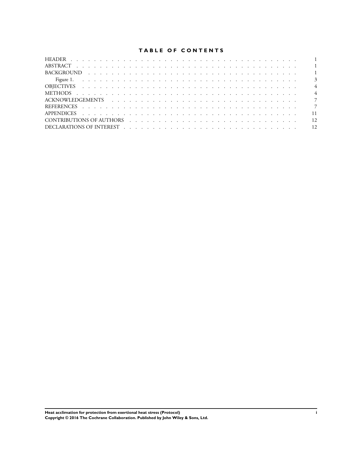## **TABLE OF CONTENTS**

|                                                     |  |  |  | $\overline{4}$ |
|-----------------------------------------------------|--|--|--|----------------|
|                                                     |  |  |  | $\overline{4}$ |
|                                                     |  |  |  |                |
|                                                     |  |  |  |                |
|                                                     |  |  |  |                |
| CONTRIBUTIONS OF AUTHORS (CONTRIBUTIONS OF AUTHORS) |  |  |  |                |
|                                                     |  |  |  |                |

**Heat acclimation for protection from exertional heat stress (Protocol) i Copyright © 2016 The Cochrane Collaboration. Published by John Wiley & Sons, Ltd.**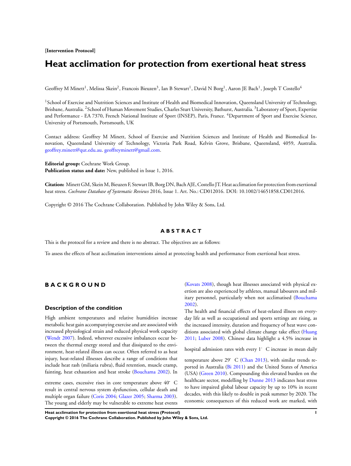<span id="page-2-0"></span>**[Intervention Protocol]**

## **Heat acclimation for protection from exertional heat stress**

Geoffrey M Minett<sup>1</sup>, Melissa Skein<sup>2</sup>, Francois Bieuzen<sup>3</sup>, Ian B Stewart<sup>1</sup>, David N Borg<sup>1</sup>, Aaron JE Bach<sup>1</sup>, Joseph T Costello<sup>4</sup>

<sup>1</sup>School of Exercise and Nutrition Sciences and Institute of Health and Biomedical Innovation, Queensland University of Technology, Brisbane, Australia. <sup>2</sup>School of Human Movement Studies, Charles Sturt University, Bathurst, Australia. <sup>3</sup>Laboratory of Sport, Expertise and Performance - EA 7370, French National Institute of Sport (INSEP), Paris, France. <sup>4</sup>Department of Sport and Exercise Science, University of Portsmouth, Portsmouth, UK

Contact address: Geoffrey M Minett, School of Exercise and Nutrition Sciences and Institute of Health and Biomedical Innovation, Queensland University of Technology, Victoria Park Road, Kelvin Grove, Brisbane, Queensland, 4059, Australia. [geoffrey.minett@qut.edu.au.](mailto:geoffrey.minett@qut.edu.au) [geoffreyminett@gmail.com](mailto:geoffreyminett@gmail.com).

**Editorial group:** Cochrane Work Group. **Publication status and date:** New, published in Issue 1, 2016.

**Citation:** Minett GM, SkeinM, Bieuzen F, Stewart IB, Borg DN, Bach AJE, Costello JT. Heat acclimation for protection from exertional heat stress. *Cochrane Database of Systematic Reviews* 2016, Issue 1. Art. No.: CD012016. DOI: 10.1002/14651858.CD012016.

Copyright © 2016 The Cochrane Collaboration. Published by John Wiley & Sons, Ltd.

## **A B S T R A C T**

This is the protocol for a review and there is no abstract. The objectives are as follows:

To assess the effects of heat acclimation interventions aimed at protecting health and performance from exertional heat stress.

## **B A C K G R O U N D**

## **Description of the condition**

High ambient temperatures and relative humidities increase metabolic heat gain accompanying exercise and are associated with increased physiological strain and reduced physical work capacity [\(Wendt 2007](#page-8-0)). Indeed, wherever excessive imbalances occur between the thermal energy stored and that dissipated to the environment, heat-related illness can occur. Often referred to as heat injury, heat-related illnesses describe a range of conditions that include heat rash (miliaria rubra), fluid retention, muscle cramp, fainting, heat exhaustion and heat stroke [\(Bouchama 2002](#page-8-0)). In

extreme cases, excessive rises in core temperature above 40 C result in central nervous system dysfunction, cellular death and multiple organ failure ([Coris 2004;](#page-8-0) [Glazer 2005;](#page-8-0) [Sharma 2003](#page-8-0)). The young and elderly may be vulnerable to extreme heat events

[\(Kovats 2008](#page-8-0)), though heat illnesses associated with physical exertion are also experienced by athletes, manual labourers and military personnel, particularly when not acclimatised [\(Bouchama](#page-8-0) [2002](#page-8-0)).

The health and financial effects of heat-related illness on everyday life as well as occupational and sports settings are rising, as the increased intensity, duration and frequency of heat wave conditions associated with global climate change take effect [\(Huang](#page-8-0) [2011](#page-8-0); [Luber 2008\)](#page-8-0). Chinese data highlight a 4.5% increase in

hospital admission rates with every 1° C increase in mean daily

temperature above 29 C [\(Chan 2013\)](#page-8-0), with similar trends reported in Australia [\(Bi 2011\)](#page-8-0) and the United States of America (USA) ([Green 2010](#page-8-0)). Compounding this elevated burden on the healthcare sector, modelling by [Dunne 2013](#page-8-0) indicates heat stress to have impaired global labour capacity by up to 10% in recent decades, with this likely to double in peak summer by 2020. The economic consequences of this reduced work are marked, with

**Heat acclimation for protection from exertional heat stress (Protocol) 1 Copyright © 2016 The Cochrane Collaboration. Published by John Wiley & Sons, Ltd.**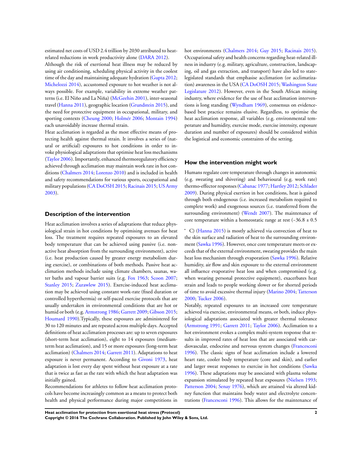estimated net costs of USD 2.4 trillion by 2030 attributed to heatrelated reductions in work productivity alone ([DARA 2012](#page-8-0)).

Although the risk of exertional heat illness may be reduced by using air conditioning, scheduling physical activity in the coolest time of the day and maintaining adequate hydration [\(Gupta 2012;](#page-8-0) [Michelozzi 2014](#page-8-0)), accustomed exposure to hot weather is not always possible. For example, variability in extreme weather patterns (i.e. El Niño and La Niña) [\(McGeehin 2001\)](#page-8-0), inter-seasonal travel ([Hanna 2011](#page-8-0)), geographic location ([Grundstein 2015\)](#page-8-0), and the need for protective equipment in occupational, military, and sporting contexts [\(Cheung 2000;](#page-8-0) [Holmér 2006;](#page-8-0) [Montain 1994](#page-8-0)) each unavoidably increase thermal strain.

Heat acclimation is regarded as the most effective means of protecting health against thermal strain. It involves a series of (natural or artificial) exposures to hot conditions in order to invoke physiological adaptations that optimise heat loss mechanisms [\(Taylor 2006\)](#page-8-0). Importantly, enhanced thermoregulatory efficiency achieved through acclimation may maintain work rate in hot conditions [\(Chalmers 2014;](#page-8-0) [Lorenzo 2010](#page-8-0)) and is included in health and safety recommendations for various sports, occupational and military populations [\(CA DoOSH 2015](#page-8-0); [Racinais 2015](#page-8-0); [US Army](#page-8-0) [2003](#page-8-0)).

#### **Description of the intervention**

Heat acclimation involves a series of adaptations that reduce physiological strain in hot conditions by optimising avenues for heat loss. The treatment requires repeated exposures to an elevated body temperature that can be achieved using passive (i.e. nonactive heat absorption from the surrounding environment), active (i.e. heat production caused by greater energy metabolism during exercise), or combinations of both methods. Passive heat acclimation methods include using climate chambers, saunas, water baths and vapour barrier suits (e.g. [Fox 1963;](#page-8-0) [Scoon 2007;](#page-8-0) [Stanley 2015;](#page-8-0) [Zurawlew 2015\)](#page-8-0). Exercise-induced heat acclimation may be achieved using constant work-rate (fixed duration or controlled hyperthermia) or self-paced exercise protocols that are usually undertaken in environmental conditions that are hot or humid or both (e.g. [Armstrong 1986](#page-8-0); [Garrett 2009](#page-8-0); [Gibson 2015;](#page-8-0) [Houmard 1990\)](#page-8-0).Typically, these exposures are administered for 30 to 120 minutes and are repeated across multiple days. Accepted definitions of heat acclimation processes are: up to seven exposures (short-term heat acclimation), eight to 14 exposures (mediumterm heat acclimation), and 15 or more exposures (long-term heat acclimation) [\(Chalmers 2014](#page-8-0); [Garrett 2011\)](#page-8-0). Adaptations to heat exposure is never permanent. According to [Givoni 1973,](#page-8-0) heat adaptation is lost every day spent without heat exposure at a rate that is twice as fast as the rate with which the heat adaptation was initially gained.

Recommendations for athletes to follow heat acclimation protocols have become increasingly common as a means to protect both health and physical performance during major competitions in hot environments ([Chalmers 2014](#page-8-0); [Guy 2015;](#page-8-0) [Racinais 2015](#page-8-0)). Occupational safety and health concerns regarding heat-related illness in industry (e.g. military, agriculture, construction, landscaping, oil and gas extraction, and transport) have also led to statelegislated standards that emphasise acclimation (or acclimatization) awareness in the USA [\(CA DoOSH 2015;](#page-8-0) [Washington State](#page-8-0) [Legislature 2012](#page-8-0)). However, even in the South African mining industry, where evidence for the use of heat acclimation interventions is long standing ([Wyndham 1969\)](#page-8-0), consensus on evidencebased best practice remains elusive. Regardless, to optimise the heat acclimation response, all variables (e.g. environmental temperature and humidity, exercise mode, exercise intensity, exposure duration and number of exposures) should be considered within the logistical and economic constraints of the setting.

#### **How the intervention might work**

Humans regulate core temperature through changes in autonomic (e.g. sweating and shivering) and behavioural (e.g. work rate) thermo-effector responses ([Cabanac 1977](#page-8-0); [Hartley 2012;](#page-8-0) [Schlader](#page-8-0) [2009](#page-8-0)). During physical exertion in hot conditions, heat is gained through both endogenous (i.e. increased metabolism required to complete work) and exogenous sources (i.e. transferred from the surrounding environment) ([Wendt 2007\)](#page-8-0). The maintenance of core temperature within a homeostatic range at rest  $(-36.8 \pm 0.5)$ 

C) ([Hanna 2015](#page-8-0)) is mostly achieved via convection of heat to the skin surface and radiation of heat to the surrounding environment ([Sawka 1996\)](#page-8-0). However, once core temperature meets or exceeds that of the external environment, sweating provides the main heat loss mechanism through evaporation ([Sawka 1996](#page-8-0)). Relative humidity, air flow and skin exposure to the external environment all influence evaporative heat loss and when compromised (e.g. when wearing personal protective equipment), exacerbates heat strain and leads to people working slower or for shorted periods of time to avoid excessive thermal injury ([Marino 2004](#page-8-0); [Tatterson](#page-8-0) [2000](#page-8-0); [Tucker 2006\)](#page-8-0).

Notably, repeated exposures to an increased core temperature achieved via exercise, environmental means, or both, induce physiological adaptations associated with greater thermal tolerance [\(Armstrong 1991](#page-8-0); [Garrett 2011;](#page-8-0) [Taylor 2006](#page-8-0)). Acclimation to a hot environment evokes a complex multi-system response that results in improved rates of heat loss that are associated with cardiovascular, endocrine and nervous system changes [\(Francesconi](#page-8-0) [1996](#page-8-0)). The classic signs of heat acclimation include a lowered heart rate, cooler body temperature (core and skin), and earlier and larger sweat responses to exercise in hot conditions [\(Sawka](#page-8-0) [1996](#page-8-0)). These adaptations may be associated with plasma volume expansion stimulated by repeated heat exposures [\(Nielsen 1993;](#page-8-0) [Patterson 2004](#page-8-0); [Senay 1976](#page-8-0)), which are attained via altered kidney function that maintains body water and electrolyte concentrations [\(Francesconi 1996](#page-8-0)). This allows for the maintenance of

**Heat acclimation for protection from exertional heat stress (Protocol) 2 Copyright © 2016 The Cochrane Collaboration. Published by John Wiley & Sons, Ltd.**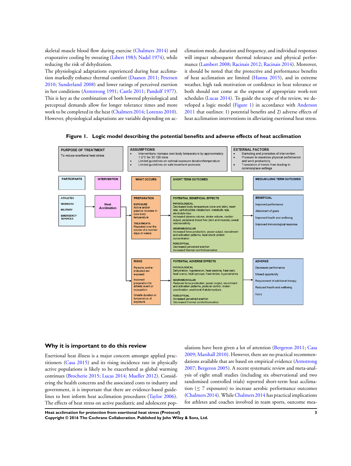<span id="page-4-0"></span>skeletal muscle blood flow during exercise ([Chalmers 2014\)](#page-8-0) and evaporative cooling by sweating ([Libert 1983;](#page-8-0) [Nadel 1974\)](#page-8-0), while reducing the risk of dehydration.

The physiological adaptations experienced during heat acclimation markedly enhance thermal comfort [\(Daanen 2011](#page-8-0); [Petersen](#page-8-0) [2010](#page-8-0); [Sunderland 2008\)](#page-8-0) and lower ratings of perceived exertion in hot conditions [\(Armstrong 1991;](#page-8-0) [Castle 2011;](#page-8-0) [Pandolf 1977](#page-8-0)). This is key as the combination of both lowered physiological and perceptual demands allow for longer tolerance times and more work to be completed in the heat ([Chalmers 2014](#page-8-0); [Lorenzo 2010](#page-8-0)). However, physiological adaptations are variable depending on acclimation mode, duration and frequency, and individual responses will impact subsequent thermal tolerance and physical performance ([Lambert 2008](#page-8-0); [Racinais 2012](#page-8-0); [Racinais 2014\)](#page-8-0). Moreover, it should be noted that the protective and performance benefits of heat acclimation are limited [\(Hanna 2015](#page-8-0)), and in extreme weather, high task motivation or confidence in heat tolerance or both should not come at the expense of appropriate work-rest schedules ([Lucas 2014](#page-8-0)). To guide the scope of the review, we developed a logic model (Figure 1) in accordance with [Anderson](#page-8-0) [2011](#page-8-0) that outlines: 1) potential benefits and 2) adverse effects of heat acclimation interventions in alleviating exertional heat stress.

**Figure 1. Logic model describing the potential benefits and adverse effects of heat acclimation**



#### **Why it is important to do this review**

Exertional heat illness is a major concern amongst applied practitioners ([Casa 2015\)](#page-8-0) and its rising incidence rate in physically active populations is likely to be exacerbated as global warming continues [\(Brocherie 2015;](#page-8-0) [Lucas 2014](#page-8-0); [Mueller 2012\)](#page-8-0). Considering the health concerns and the associated costs to industry and government, it is important that there are evidence-based guidelines to best inform heat acclimation procedures ([Taylor 2006](#page-8-0)). The effects of heat stress on active paediatric and adolescent pop-

ulations have been given a lot of attention [\(Bergeron 2011](#page-8-0); [Casa](#page-8-0) [2009](#page-8-0); [Marshall 2010\)](#page-8-0). However, there are no practical recommendations available that are based on empirical evidence ([Armstrong](#page-8-0) [2007](#page-8-0); [Bergeron 2005\)](#page-8-0). A recent systematic review and meta-analysis of eight small studies (including six observational and two randomised controlled trials) reported short-term heat acclimation ( $\leq$  7 exposures) to increase aerobic performance outcomes [\(Chalmers 2014\)](#page-8-0). While[Chalmers 2014](#page-8-0) has practical implications for athletes and coaches involved in team sports, outcome mea-

**Heat acclimation for protection from exertional heat stress (Protocol) 3 Copyright © 2016 The Cochrane Collaboration. Published by John Wiley & Sons, Ltd.**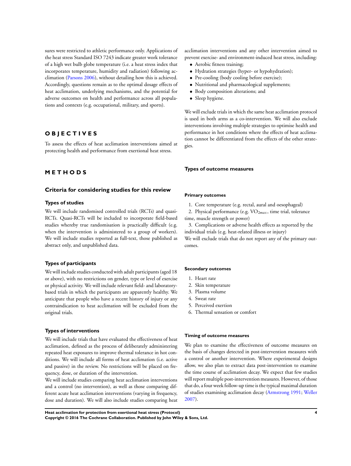sures were restricted to athletic performance only. Applications of the heat stress Standard ISO 7243 indicate greater work tolerance of a high wet bulb globe temperature (i.e. a heat stress index that incorporates temperature, humidity and radiation) following acclimation [\(Parsons 2006\)](#page-8-0), without detailing how this is achieved. Accordingly, questions remain as to the optimal dosage effects of heat acclimation, underlying mechanisms, and the potential for adverse outcomes on health and performance across all populations and contexts (e.g. occupational, military, and sports).

## **O B J E C T I V E S**

To assess the effects of heat acclimation interventions aimed at protecting health and performance from exertional heat stress.

## **M E T H O D S**

## **Criteria for considering studies for this review**

## **Types of studies**

We will include randomised controlled trials (RCTs) and quasi-RCTs. Quasi-RCTs will be included to incorporate field-based studies whereby true randomisation is practically difficult (e.g. when the intervention is administered to a group of workers). We will include studies reported as full-text, those published as abstract only, and unpublished data.

#### **Types of participants**

We will include studies conducted with adult participants (aged 18 or above), with no restrictions on gender, type or level of exercise or physical activity. We will include relevant field- and laboratorybased trials in which the participants are apparently healthy. We anticipate that people who have a recent history of injury or any contraindication to heat acclimation will be excluded from the original trials.

## **Types of interventions**

We will include trials that have evaluated the effectiveness of heat acclimation, defined as the process of deliberately administering repeated heat exposures to improve thermal tolerance in hot conditions. We will include all forms of heat acclimation (i.e. active and passive) in the review. No restrictions will be placed on frequency, dose, or duration of the intervention.

We will include studies comparing heat acclimation interventions and a control (no intervention), as well as those comparing different acute heat acclimation interventions (varying in frequency, dose and duration). We will also include studies comparing heat

acclimation interventions and any other intervention aimed to prevent exercise- and environment-induced heat stress, including:

- Aerobic fitness training;
- Hydration strategies (hyper- or hypohydration);
- Pre-cooling (body cooling before exercise);
- Nutritional and pharmacological supplements;
- Body composition alterations; and
- Sleep hygiene.

We will exclude trials in which the same heat acclimation protocol is used in both arms as a co-intervention. We will also exclude interventions involving multiple strategies to optimise health and performance in hot conditions where the effects of heat acclimation cannot be differentiated from the effects of the other strategies.

#### **Types of outcome measures**

#### **Primary outcomes**

1. Core temperature (e.g. rectal, aural and oesophageal)

2. Physical performance (e.g.  $VO_{2max}$ , time trial, tolerance time, muscle strength or power)

3. Complications or adverse health effects as reported by the individual trials (e.g. heat-related illness or injury) We will exclude trials that do not report any of the primary outcomes.

#### **Secondary outcomes**

- 1. Heart rate
- 2. Skin temperature
- 3. Plasma volume
- 4. Sweat rate
- 5. Perceived exertion
- 6. Thermal sensation or comfort

#### **Timing of outcome measures**

We plan to examine the effectiveness of outcome measures on the basis of changes detected in post-intervention measures with a control or another intervention. Where experimental designs allow, we also plan to extract data post-intervention to examine the time course of acclimation decay. We expect that few studies will report multiple post-intervention measures. However, of those that do, a four week follow-up time is the typical maximal duration of studies examining acclimation decay ([Armstrong 1991](#page-8-0); [Weller](#page-8-0) [2007](#page-8-0)).

**Heat acclimation for protection from exertional heat stress (Protocol) 4 Copyright © 2016 The Cochrane Collaboration. Published by John Wiley & Sons, Ltd.**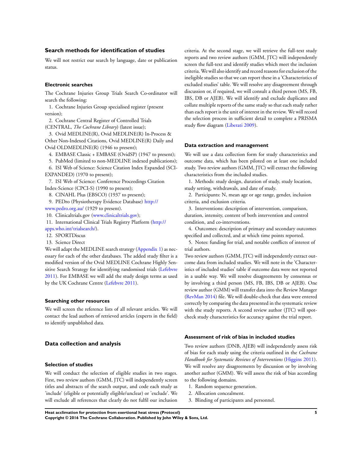## **Search methods for identification of studies**

We will not restrict our search by language, date or publication status.

#### **Electronic searches**

The Cochrane Injuries Group Trials Search Co-ordinator will search the following:

1. Cochrane Injuries Group specialised register (present version);

2. Cochrane Central Register of Controlled Trials

(CENTRAL, *The Cochrane Library*) (latest issue);

3. Ovid MEDLINE(R), Ovid MEDLINE(R) In-Process & Other Non-Indexed Citations, Ovid MEDLINE(R) Daily and Ovid OLDMEDLINE(R) (1946 to present);

4. EMBASE Classic + EMBASE (OvidSP) (1947 to present);

5. PubMed (limited to non-MEDLINE indexed publications);

6. ISI Web of Science: Science Citation Index Expanded (SCI-EXPANDED) (1970 to present);

7. ISI Web of Science: Conference Proceedings Citation Index-Science (CPCI-S) (1990 to present);

8. CINAHL Plus (EBSCO) (1937 to present);

9. PEDro (Physiotherapy Evidence Database) [http://](http://www.pedro.org.au/) [www.pedro.org.au/](http://www.pedro.org.au/) (1929 to present).

10. Clinicaltrials.gov ([www.clinicaltrials.gov](http://www.clinicaltrials.gov));

11. International Clinical Trials Registry Platform ([http://](http://apps.who.int/trialsearch/) [apps.who.int/trialsearch/](http://apps.who.int/trialsearch/)).

12. SPORTDiscus

13. Science Direct

We will adapt the MEDLINE search strategy [\(Appendix 1\)](http://archie.cochrane.org/sections/documents/view?document=51441040771572310017111031184231%26format=REVMAN#APP-01) as necessary for each of the other databases. The added study filter is a modified version of the Ovid MEDLINE Cochrane Highly Sensitive Search Strategy for identifying randomised trials ([Lefebvre](#page-8-0) [2011](#page-8-0)). For EMBASE we will add the study design terms as used by the UK Cochrane Centre [\(Lefebvre 2011\)](#page-8-0).

#### **Searching other resources**

We will screen the reference lists of all relevant articles. We will contact the lead authors of retrieved articles (experts in the field) to identify unpublished data.

## **Data collection and analysis**

#### **Selection of studies**

We will conduct the selection of eligible studies in two stages. First, two review authors (GMM, JTC) will independently screen titles and abstracts of the search output, and code each study as 'include' (eligible or potentially eligible/unclear) or 'exclude'. We will exclude all references that clearly do not fulfil our inclusion

criteria. At the second stage, we will retrieve the full-text study reports and two review authors (GMM, JTC) will independently screen the full-text and identify studies which meet the inclusion criteria.We will also identify and record reasonsfor exclusion of the ineligible studies so that we can report these in a 'Characteristics of excluded studies' table. We will resolve any disagreement through discussion or, if required, we will consult a third person (MS, FB, IBS, DB or AJEB). We will identify and exclude duplicates and collate multiple reports of the same study so that each study rather than each report is the unit of interest in the review. We will record the selection process in sufficient detail to complete a PRISMA study flow diagram ([Liberati 2009](#page-8-0)).

#### **Data extraction and management**

We will use a data collection form for study characteristics and outcome data, which has been piloted on at least one included study. Two review authors (GMM, JTC) will extract the following characteristics from the included studies.

1. Methods: study design, duration of study, study location, study setting, withdrawals, and date of study.

2. Participants: N, mean age or age range, gender, inclusion criteria, and exclusion criteria.

3. Interventions: description of intervention, comparison, duration, intensity, content of both intervention and control condition, and co-interventions.

4. Outcomes: description of primary and secondary outcomes specified and collected, and at which time points reported.

5. Notes: funding for trial, and notable conflicts of interest of trial authors.

Two review authors (GMM, JTC) will independently extract outcome data from included studies. We will note in the 'Characteristics of included studies' table if outcome data were not reported in a usable way. We will resolve disagreements by consensus or by involving a third person (MS, FB, IBS, DB or AJEB). One review author (GMM) will transfer data into the Review Manager [\(RevMan 2014\)](#page-8-0) file. We will double-check that data were entered correctly by comparing the data presented in the systematic review with the study reports. A second review author (JTC) will spotcheck study characteristics for accuracy against the trial report.

#### **Assessment of risk of bias in included studies**

Two review authors (DNB, AJEB) will independently assess risk of bias for each study using the criteria outlined in the *Cochrane Handbook for Systematic Reviews of Interventions* [\(Higgins 2011](#page-8-0)). We will resolve any disagreements by discussion or by involving another author (GMM). We will assess the risk of bias according to the following domains.

- 1. Random sequence generation.
- 2. Allocation concealment.
- 3. Blinding of participants and personnel.

**Heat acclimation for protection from exertional heat stress (Protocol) 5**

**Copyright © 2016 The Cochrane Collaboration. Published by John Wiley & Sons, Ltd.**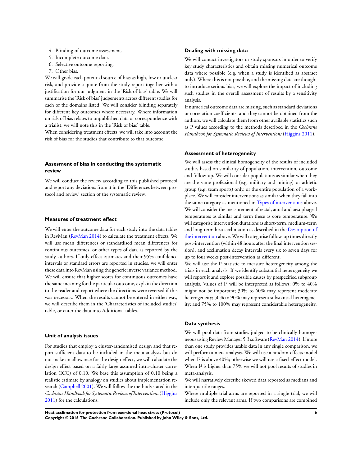- 4. Blinding of outcome assessment.
- 5. Incomplete outcome data.
- 6. Selective outcome reporting.
- 7. Other bias.

We will grade each potential source of bias as high, low or unclear risk, and provide a quote from the study report together with a justification for our judgment in the 'Risk of bias' table. We will summarise the 'Risk of bias' judgements across different studies for each of the domains listed. We will consider blinding separately for different key outcomes where necessary. Where information on risk of bias relates to unpublished data or correspondence with a trialist, we will note this in the 'Risk of bias' table.

When considering treatment effects, we will take into account the risk of bias for the studies that contribute to that outcome.

## **Assesment of bias in conducting the systematic review**

We will conduct the review according to this published protocol and report any deviations from it in the 'Differences between protocol and review' section of the systematic review.

#### **Measures of treatment effect**

We will enter the outcome data for each study into the data tables in RevMan ([RevMan 2014](#page-8-0)) to calculate the treatment effects. We will use mean differences or standardised mean differences for continuous outcomes, or other types of data as reported by the study authors. If only effect estimates and their 95% confidence intervals or standard errors are reported in studies, we will enter these data into RevMan using the generic inverse variance method. We will ensure that higher scores for continuous outcomes have the same meaning for the particular outcome, explain the direction to the reader and report where the directions were reversed if this was necessary. When the results cannot be entered in either way, we will describe them in the 'Characteristics of included studies' table, or enter the data into Additional tables.

#### **Unit of analysis issues**

For studies that employ a cluster-randomised design and that report sufficient data to be included in the meta-analysis but do not make an allowance for the design effect, we will calculate the design effect based on a fairly large assumed intra-cluster correlation (ICC) of 0.10. We base this assumption of 0.10 being a realistic estimate by analogy on studies about implementation research [\(Campbell 2001](#page-8-0)). We will follow the methods stated in the *Cochrane Handbook for Systematic Reviews of Interventions* ([Higgins](#page-8-0) [2011](#page-8-0)) for the calculations.

#### **Dealing with missing data**

We will contact investigators or study sponsors in order to verify key study characteristics and obtain missing numerical outcome data where possible (e.g. when a study is identified as abstract only). Where this is not possible, and the missing data are thought to introduce serious bias, we will explore the impact of including such studies in the overall assessment of results by a sensitivity analysis.

If numerical outcome data are missing, such as standard deviations or correlation coefficients, and they cannot be obtained from the authors, we will calculate them from other available statistics such as P values according to the methods described in the *Cochrane Handbook for Systematic Reviews of Interventions* ([Higgins 2011\)](#page-8-0).

#### **Assessment of heterogeneity**

We will assess the clinical homogeneity of the results of included studies based on similarity of population, intervention, outcome and follow-up. We will consider populations as similar when they are the same professional (e.g. military and mining) or athletic group (e.g. team sports) only, or the entire population of a workplace. We will consider interventions as similar when they fall into the same category as mentioned in [Types of interventions](#page-4-0) above. We will consider the measurement of rectal, aural and oesophageal temperatures as similar and term these as core temperature. We will categorise intervention durations as short-term, medium-term and long-term heat acclimation as described in the [Description of](#page-2-0) [the intervention](#page-2-0) above. We will categorise follow-up times directly post-intervention (within 48 hours after the final intervention session), and acclimation decay intervals every six to seven days for up to four weeks post-intervention as different.

We will use the I<sup>2</sup> statistic to measure heterogeneity among the trials in each analysis. If we identify substantial heterogeneity we will report it and explore possible causes by prespecified subgroup analysis. Values of I² will be interpreted as follows: 0% to 40% might not be important; 30% to 60% may represent moderate heterogeneity; 50% to 90% may represent substantial heterogeneity; and 75% to 100% may represent considerable heterogeneity.

#### **Data synthesis**

We will pool data from studies judged to be clinically homogeneous using ReviewManager 5.3 software [\(RevMan 2014](#page-8-0)). If more than one study provides usable data in any single comparison, we will perform a meta-analysis. We will use a random-effects model when I² is above 40%; otherwise we will use a fixed-effect model. When I² is higher than 75% we will not pool results of studies in meta-analysis.

We will narratively describe skewed data reported as medians and interquartile ranges.

Where multiple trial arms are reported in a single trial, we will include only the relevant arms. If two comparisons are combined

**Heat acclimation for protection from exertional heat stress (Protocol) 6 Copyright © 2016 The Cochrane Collaboration. Published by John Wiley & Sons, Ltd.**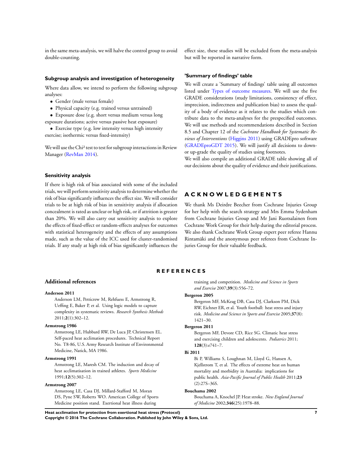<span id="page-8-0"></span>in the same meta-analysis, we will halve the control group to avoid double-counting.

#### **Subgroup analysis and investigation of heterogeneity**

Where data allow, we intend to perform the following subgroup analyses:

- Gender (male versus female)
- Physical capacity (e.g. trained versus untrained)

• Exposure dose (e.g. short versus medium versus long exposure durations; active versus passive heat exposure)

• Exercise type (e.g. low intensity versus high intensity exercise; isothermic versus fixed-intensity)

We will use the Chi<sup>2</sup> test to test for subgroup interactions in Review Manager (RevMan 2014).

#### **Sensitivity analysis**

If there is high risk of bias associated with some of the included trials, we will perform sensitivity analysis to determine whether the risk of bias significantly influences the effect size. We will consider trials to be at high risk of bias in sensitivity analysis if allocation concealment is rated as unclear or high risk, or if attrition is greater than 20%. We will also carry out sensitivity analysis to explore the effects of fixed-effect or random-effects analyses for outcomes with statistical heterogeneity and the effects of any assumptions made, such as the value of the ICC used for cluster-randomised trials. If any study at high risk of bias significantly influences the

effect size, these studies will be excluded from the meta-analysis but will be reported in narrative form.

#### **'Summary of findings' table**

We will create a 'Summary of findings' table using all outcomes listed under [Types of outcome measures](#page-4-0). We will use the five GRADE considerations (study limitations, consistency of effect, imprecision, indirectness and publication bias) to assess the quality of a body of evidence as it relates to the studies which contribute data to the meta-analyses for the prespecified outcomes. We will use methods and recommendations described in Section 8.5 and Chapter 12 of the *Cochrane Handbook for Systematic Reviews of Interventions* (Higgins 2011) using GRADEpro software (GRADEproGDT 2015). We will justify all decisions to downor up-grade the quality of studies using footnotes.

We will also compile an additional GRADE table showing all of our decisions about the quality of evidence and their justifications.

## **A C K N O W L E D G E M E N T S**

We thank Ms Deirdre Beecher from Cochrane Injuries Group for her help with the search strategy and Mrs Emma Sydenham from Cochrane Injuries Group and Mr Jani Ruotsalainen from Cochrane Work Group for their help during the editorial process. We also thank Cochrane Work Group expert peer referee Hannu Rintamäki and the anonymous peer referees from Cochrane Injuries Group for their valuable feedback.

## **R E F E R E N C E S**

#### **Additional references**

#### **Anderson 2011**

Anderson LM, Petticrew M, Rehfuess E, Armstrong R, Ueffing E, Baker P, et al. Using logic models to capture complexity in systematic reviews. *Research Synthesis Methods* 2011;**2**(1):302–12.

#### **Armstrong 1986**

Armstrong LE, Hubbard RW, De Luca JP, Christensen EL. Self-paced heat acclimation procedures. Technical Report No. T8-86, U.S. Army Research Institute of Environmental Medicine, Natick, MA 1986.

#### **Armstrong 1991**

Armstrong LE, Maresh CM. The induction and decay of heat acclimatisation in trained athletes. *Sports Medicine* 1991;**12**(5):302–12.

#### **Armstrong 2007**

Armstrong LE, Casa DJ, Millard-Stafford M, Moran DS, Pyne SW, Roberts WO. American College of Sports Medicine position stand. Exertional heat illness during

training and competition. *Medicine and Science in Sports and Exercise* 2007;**39**(3):556–72.

#### **Bergeron 2005**

Bergeron MF, McKeag DB, Casa DJ, Clarkson PM, Dick RW, Eichner ER, et al. Youth football: heat stress and injury risk. *Medicine and Science in Sports and Exercise* 2005;**37**(8): 1421–30.

## **Bergeron 2011**

Bergeron MF, Devore CD, Rice SG. Climatic heat stress and exercising children and adolescents. *Pediatrics* 2011; **128**(3):e741–7.

#### **Bi 2011**

Bi P, Williams S, Loughnan M, Lloyd G, Hansen A, Kjellstrom T, et al. The effects of extreme heat on human mortality and morbidity in Australia: implications for public health. *Asia-Pacific Journal of Public Health* 2011;**23** (2):27S–36S.

#### **Bouchama 2002**

Bouchama A, Knochel JP. Heat stroke. *New England Journal of Medicine* 2002;**346**(25):1978–88.

**Heat acclimation for protection from exertional heat stress (Protocol) 7**

**Copyright © 2016 The Cochrane Collaboration. Published by John Wiley & Sons, Ltd.**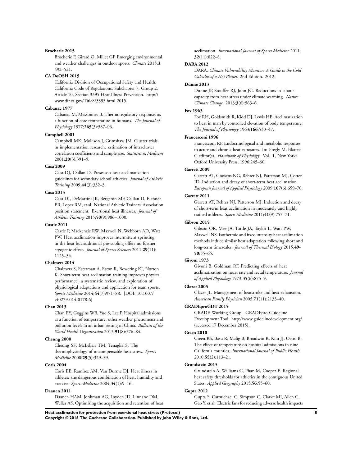#### **Brocherie 2015**

Brocherie F, Girard O, Millet GP. Emerging environmental and weather challenges in outdoor sports. *Climate* 2015;**3**: 492–521.

#### **CA DoOSH 2015**

California Division of Occupational Safety and Health. California Code of Regulations, Subchapter 7, Group 2, Article 10, Section 3395 Heat Illness Prevention. http:// www.dir.ca.gov/Title8/3395.html 2015.

#### **Cabanac 1977**

Cabanac M, Massonnet B. Thermoregulatory responses as a function of core temperature in humans. *The Journal of Physiology* 1977;**265**(3):587–96.

## **Campbell 2001**

Campbell MK, Mollison J, Grimshaw JM. Cluster trials in implementation research: estimation of intracluster correlation coefficients and sample size. *Statistics in Medicine* 2001;**20**(3):391–9.

#### **Casa 2009**

Casa DJ, Csillan D. Preseason heat-acclimatization guidelines for secondary school athletics. *Journal of Athletic Training* 2009;**44**(3):332–3.

#### **Casa 2015**

Casa DJ, DeMartini JK, Bergeron MF, Csillan D, Eichner ER, Lopez RM, et al. National Athletic Trainers' Association position statement: Exertional heat illnesses. *Journal of Athletic Training* 2015;**50**(9):986–1000.

#### **Castle 2011**

Castle P, Mackenzie RW, Maxwell N, Webborn AD, Watt PW. Heat acclimation improves intermittent sprinting in the heat but additional pre-cooling offers no further ergogenic effect. *Journal of Sports Sciences* 2011;**29**(11): 1125–34.

#### **Chalmers 2014**

Chalmers S, Esterman A, Eston R, Bowering KJ, Norton K. Short-term heat acclimation training improves physical performance: a systematic review, and exploration of physiological adaptations and application for team sports. *Sports Medicine* 2014;**44**(7):971–88. [DOI: 10.1007/ s40279-014-0178-6]

#### **Chan 2013**

Chan EY, Goggins WB, Yue S, Lee P. Hospital admissions as a function of temperature, other weather phenomena and pollution levels in an urban setting in China. *Bulletin of the World Health Organization* 2013;**91**(8):576–84.

#### **Cheung 2000**

Cheung SS, McLellan TM, Tenaglia S. The thermophysiology of uncompensable heat stress. *Sports Medicine* 2000;**29**(5):329–59.

#### **Coris 2004**

Coris EE, Ramirez AM, Van Durme DJ. Heat illness in athletes: the dangerous combination of heat, humidity and exercise. *Sports Medicine* 2004;**34**(1):9–16.

#### **Daanen 2011**

Daanen HAM, Jonkman AG, Layden JD, Linnane DM, Weller AS. Optimising the acquisition and retention of heat acclimation. *International Journal of Sports Medicine* 2011; **32**(11):822–8.

#### **DARA 2012**

DARA. *Climate Vulnerability Monitor: A Guide to the Cold Calculus of a Hot Planet*. 2nd Edition. 2012.

#### **Dunne 2013**

Dunne JP, Stouffer RJ, John JG. Reductions in labour capacity from heat stress under climate warming. *Nature Climate Change.* 2013;**3**(6):563–6.

#### **Fox 1963**

Fox RH, Goldsmith R, Kidd DJ, Lewis HE. Acclimatization to heat in man by controlled elevation of body temperature. *The Journal of Physiology* 1963;**166**:530–47.

### **Francesconi 1996**

Francesconi RP. Endocrinological and metabolic responses to acute and chronic heat exposures. In: Fregly M, Blatteis C editor(s). *Handbook of Physiology*. Vol. **1**, New York: Oxford University Press, 1996:245–60.

#### **Garrett 2009**

Garrett AT, Goosens NG, Rehrer NJ, Patterson MJ, Cotter JD. Induction and decay of short-term heat acclimation. *European Journal of Applied Physiology* 2009;**107**(6):659–70.

#### **Garrett 2011**

Garrett AT, Rehrer NJ, Patterson MJ. Induction and decay of short-term heat acclimation in moderately and highly trained athletes. *Sports Medicine* 2011;**41**(9):757–71.

#### **Gibson 2015**

Gibson OR, Mee JA, Tuttle JA, Taylor L, Watt PW, Maxwell NS. Isothermic and fixed intensity heat acclimation methods induce similar heat adaptation following short and long-term timescales. *Journal of Thermal Biology* 2015;**49- 50**:55–65.

#### **Givoni 1973**

Givoni B, Goldman RF. Predicting effects of heat acclimatization on heart rate and rectal temperature. *Journal of Applied Physiology* 1973;**35**(6):875–9.

## **Glazer 2005**

Glazer JL. Management of heatstroke and heat exhaustion. *American Family Physician* 2005;**71**(11):2133–40.

#### **GRADEproGDT 2015**

GRADE Working Group. GRADEpro Guideline Development Tool. http://www.guidelinedevelopment.org/ (accessed 17 December 2015).

#### **Green 2010**

Green RS, Basu R, Malig B, Broadwin R, Kim JJ, Ostro B. The effect of temperature on hospital admissions in nine California counties. *International Journal of Public Health* 2010;**55**(2):113–21.

#### **Grundstein 2015**

Grundstein A, Williams C, Phan M, Cooper E. Regional heat safety thresholds for athletics in the contiguous United States. *Applied Geography* 2015;**56**:55–60.

## **Gupta 2012**

Gupta S, Carmichael C, Simpson C, Clarke MJ, Allen C, Gao Y, et al. Electric fans for reducing adverse health impacts

**Heat acclimation for protection from exertional heat stress (Protocol) 8**

**Copyright © 2016 The Cochrane Collaboration. Published by John Wiley & Sons, Ltd.**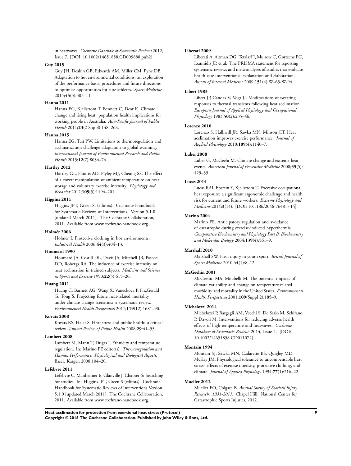in heatwaves. *Cochrane Database of Systematic Reviews* 2012, Issue 7. [DOI: 10.1002/14651858.CD009888.pub2]

#### **Guy 2015**

Guy JH, Deakin GB, Edwards AM, Miller CM, Pyne DB. Adaptation to hot environmental conditions: an exploration of the performance basis, procedures and future directions to optimise opportunities for elite athletes. *Sports Medicine* 2015;**45**(3):303–11.

#### **Hanna 2011**

Hanna EG, Kjellstrom T, Bennett C, Dear K. Climate change and rising heat: population health implications for working people in Australia. *Asia-Pacific Journal of Public Health* 2011;**23**(2 Suppl):14S–26S.

#### **Hanna 2015**

Hanna EG, Tait PW. Limitations to thermoregulation and acclimatization challenge adaptation to global warming. *International Journal of Environmental Research and Public Health* 2015;**12**(7):8034–74.

## **Hartley 2012**

Hartley GL, Flouris AD, Plyley MJ, Cheung SS. The effect of a covert manipulation of ambient temperature on heat storage and voluntary exercise intensity. *Physiology and Behavior* 2012;**105**(5):1194–201.

## **Higgins 2011**

Higgins JPT, Green S. (editors). Cochrane Handbook for Systematic Reviews of Interventions. Version 5.1.0 [updated March 2011]. The Cochrane Collaboration, 2011. Available from www.cochrane-handbook.org.

#### **Holmér 2006**

Holmér I. Protective clothing in hot environments. *Industrial Health* 2006;**44**(3):404–13.

#### **Houmard 1990**

Houmard JA, Costill DL, Davis JA, Mitchell JB, Pascoe DD, Robergs RA. The influence of exercise intensity on heat acclimation in trained subjects. *Medicine and Science in Sports and Exercise* 1990;**22**(5):615–20.

#### **Huang 2011**

Huang C, Barnett AG, Wang X, Vaneckova P, FitzGerald G, Tong S. Projecting future heat-related mortality under climate change scenarios: a systematic review. *Environmental Health Perspectives* 2011;**119**(12):1681–90.

#### **Kovats 2008**

Kovats RS, Hajat S. Heat stress and public health: a critical review. *Annual Review of Public Health* 2008;**29**:41–55.

#### **Lambert 2008**

Lambert M, Mann T, Dugas J. Ethnicity and temperature regulation. In: Marino FE editor(s). *Thermoregulation and Human Performance: Physiological and Biological Aspects*. Basel: Karger, 2008:104–20.

#### **Lefebvre 2011**

Lefebvre C, Manheimer E, Glanville J. Chapter 6: Searching for studies. In: Higgins JPT, Green S (editors). Cochrane Handbook for Systematic Reviews of Interventions Version 5.1.0 [updated March 2011]. The Cochrane Collaboration, 2011. Available from www.cochrane-handbook.org.

#### **Liberati 2009**

Liberati A, Altman DG, Tetzlaff J, Mulrow C, Gøtzsche PC, Ioannidis JP, et al. The PRISMA statement for reporting systematic reviews and meta-analyses of studies that evaluate health care interventions: explanation and elaboration. *Annals of Internal Medicine* 2009;**151**(4):W–65-W-94.

#### **Libert 1983**

Libert JP, Candas V, Vogt JJ. Modifications of sweating responses to thermal transients following heat acclimation. *European Journal of Applied Physiology and Occupational Physiology* 1983;**50**(2):235–46.

#### **Lorenzo 2010**

Lorenzo S, Halliwill JR, Sawka MN, Minson CT. Heat acclimation improves exercise performance. *Journal of Applied Physiology* 2010;**109**(4):1140–7.

#### **Luber 2008**

Luber G, McGeehi M. Climate change and extreme heat events. *American Journal of Preventive Medicine* 2008;**35**(5): 429–35.

#### **Lucas 2014**

Lucas RAI, Epstein Y, Kjellstrom T. Excessive occupational heat exposure: a significant ergonomic challenge and health risk for current and future workers. *Extreme Physiology and Medicine* 2014;**3**(14). [DOI: 10.1186/2046-7648-3-14]

#### **Marino 2004**

Marino FE. Anticipatory regulation and avoidance of catastrophe during exercise-induced hyperthermia. *Comparative Biochemistry and Physiology Part B: Biochemistry and Molecular Biology* 2004;**139**(4):561–9.

#### **Marshall 2010**

Marshall SW. Heat injury in youth sport. *British Journal of Sports Medicine* 2010;**44**(1):8–12.

#### **McGeehin 2001**

McGeehin MA, Mirabelli M. The potential impacts of climate variability and change on temperature-related morbidity and mortality in the United States. *Environmental Health Perspectives* 2001;**109**(Suppl 2):185–9.

## **Michelozzi 2014**

Michelozzi P, Bargagli AM, Vecchi S, De Sario M, Schifano P, Davoli M. Interventions for reducing adverse health effects of high temperature and heatwaves. *Cochrane Database of Systematic Reviews* 2014, Issue 4. [DOI: 10.1002/14651858.CD011072]

#### **Montain 1994**

Montain SJ, Sawka MN, Cadarette BS, Quigley MD, McKay JM. Physiological tolerance to uncompensable heat stress: effects of exercise intensity, protective clothing, and climate. *Journal of Applied Physiology* 1994;**77**(1):216–22.

#### **Mueller 2012**

Mueller FO, Colgate B. *Annual Survey of Football Injury Research: 1931-2011*. Chapel Hill: National Center for Catastrophic Sports Injuries, 2012.

**Heat acclimation for protection from exertional heat stress (Protocol) 9 Copyright © 2016 The Cochrane Collaboration. Published by John Wiley & Sons, Ltd.**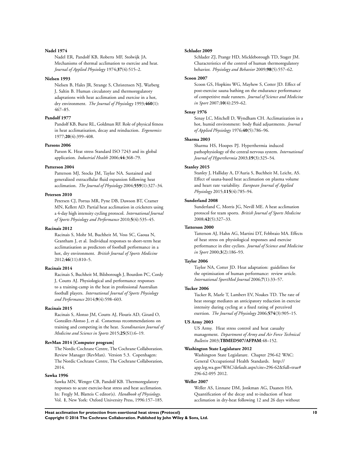#### **Nadel 1974**

Nadel ER, Pandolf KB, Roberts MF, Stolwijk JA. Mechanisms of thermal acclimation to exercise and heat. *Journal of Applied Physiology* 1974;**37**(4):515–2.

#### **Nielsen 1993**

Nielsen B, Hales JR, Strange S, Christensen NJ, Warberg J, Saltin B. Human circulatory and thermoregulatory adaptations with heat acclimation and exercise in a hot, dry environment. *The Journal of Physiology* 1993;**460**(1): 467–85.

## **Pandolf 1977**

Pandolf KB, Burse RL, Goldman RF. Role of physical fitness in heat acclimatisation, decay and reinduction. *Ergonomics* 1977;**20**(4):399–408.

#### **Parsons 2006**

Parson K. Heat stress Standard ISO 7243 and its global application. *Industrial Health* 2006;**44**:368–79.

#### **Patterson 2004**

Patterson MJ, Stocks JM, Taylor NA. Sustained and generalized extracellular fluid expansion following heat acclimation. *The Journal of Physiology* 2004;**559**(1):327–34.

#### **Petersen 2010**

Petersen CJ, Portus MR, Pyne DB, Dawson BT, Cramer MN, Kellett AD. Partial heat acclimation in cricketers using a 4-day high intensity cycling protocol. *International Journal of Sports Physiology and Performance* 2010;**5**(4):535–45.

#### **Racinais 2012**

Racinais S, Mohr M, Buchheit M, Voss SC, Gaoua N, Grantham J, et al. Individual responses to short-term heat acclimatisation as predictors of football performance in a hot, dry environment. *British Journal of Sports Medicine* 2012;**46**(11):810–5.

#### **Racinais 2014**

Racinais S, Buchheit M, Bilsborough J, Bourdon PC, Cordy J, Coutts AJ. Physiological and performance responses to a training-camp in the heat in professional Australian football players. *International Journal of Sports Physiology and Performance* 2014;**9**(4):598–603.

#### **Racinais 2015**

Racinais S, Alonso JM, Coutts AJ, Flouris AD, Girard O, González-Alonso J, et al. Consensus recommendations on training and competing in the heat. *Scandinavian Journal of Medicine and Science in Sports* 2015;**25**(S1):6–19.

#### **RevMan 2014 [Computer program]**

The Nordic Cochrane Centre, The Cochrane Collaboration. Review Manager (RevMan). Version 5.3. Copenhagen: The Nordic Cochrane Centre, The Cochrane Collaboration, 2014.

#### **Sawka 1996**

Sawka MN, Wenger CB, Pandolf KB. Thermoregulatory responses to acute exercise-heat stress and heat acclimation. In: Fregly M, Blatteis C editor(s). *Handbook of Physiology*. Vol. **1**, New York: Oxford University Press, 1996:157–185.

#### **Schlader 2009**

Schlader ZJ, Prange HD, Mickleborough TD, Stager JM. Characteristics of the control of human thermoregulatory behavior. *Physiology and Behavior* 2009;**98**(5):557–62.

#### **Scoon 2007**

Scoon GS, Hopkins WG, Mayhew S, Cotter JD. Effect of post-exercise sauna bathing on the endurance performance of competitive male runners. *Journal of Science and Medicine in Sport* 2007;**10**(4):259–62.

#### **Senay 1976**

Senay LC, Mitchell D, Wyndham CH. Acclimatization in a hot, humid environment: body fluid adjustments. *Journal of Applied Physiology* 1976;**40**(5):786–96.

#### **Sharma 2003**

Sharma HS, Hoopes PJ. Hyperthermia induced pathophysiology of the central nervous system. *International Journal of Hyperthermia* 2003;**19**(3):325–54.

## **Stanley 2015**

Stanley J, Halliday A, D'Auria S, Buchheit M, Leicht, AS. Effect of sauna-based heat acclimation on plasma volume and heart rate variability. *European Journal of Applied Physiology* 2015;**115**(4):785–94.

#### **Sunderland 2008**

Sunderland C, Morris JG, Nevill ME. A heat acclimation protocol for team sports. *British Journal of Sports Medicine* 2008;**42**(5):327–33.

#### **Tatterson 2000**

Tatterson AJ, Hahn AG, Martini DT, Febbraio MA. Effects of heat stress on physiological responses and exercise performance in elite cyclists. *Journal of Science and Medicine in Sport* 2000;**3**(2):186–93.

#### **Taylor 2006**

Taylor NA, Cotter JD. Heat adaptation: guidelines for the optimisation of human performance: review article. *International SportMed Journal* 2006;**7**(1):33–57.

#### **Tucker 2006**

Tucker R, Marle T, Lambert EV, Noakes TD. The rate of heat storage mediates an anticipatory reduction in exercise intensity during cycling at a fixed rating of perceived exertion. *The Journal of Physiology* 2006;**574**(3):905–15.

#### **US Army 2003**

US Army. Heat stress control and heat casualty management. *Department of Army and Air Force Technical Bulletin* 2003;**TBMED507/AFPAM**:48–152.

#### **Washington State Legislature 2012**

Washington State Legislature. Chapter 296-62 WAC: General Occupational Health Standards. http:// app.leg.wa.gov/WAC/default.aspx?cite=296-62&full=true# 296-62-095 2012.

## **Weller 2007**

Weller AS, Linnane DM, Jonkman AG, Daanen HA. Quantification of the decay and re-induction of heat acclimation in dry-heat following 12 and 26 days without

**Heat acclimation for protection from exertional heat stress (Protocol) 10 Copyright © 2016 The Cochrane Collaboration. Published by John Wiley & Sons, Ltd.**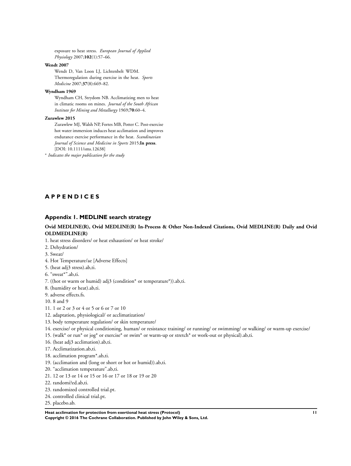exposure to heat stress. *European Journal of Applied Physiology* 2007;**102**(1):57–66.

#### **Wendt 2007**

Wendt D, Van Loon LJ, Lichtenbelt WDM. Thermoregulation during exercise in the heat. *Sports Medicine* 2007;**37**(8):669–82.

#### **Wyndham 1969**

Wyndham CH, Strydom NB. Acclimatizing men to heat in climatic rooms on mines. *Journal of the South African Institute for Mining and Metallurgy* 1969;**70**:60–4.

#### **Zurawlew 2015**

Zurawlew MJ, Walsh NP, Fortes MB, Potter C. Post-exercise hot water immersion induces heat acclimation and improves endurance exercise performance in the heat. *Scandinavian Journal of Science and Medicine in Sports* 2015;**In press**. [DOI: 10.1111/sms.12638]

∗ *Indicates the major publication for the study*

## **A P P E N D I C E S**

## **Appendix 1. MEDLINE search strategy**

## **Ovid MEDLINE(R), Ovid MEDLINE(R) In-Process & Other Non-Indexed Citations, Ovid MEDLINE(R) Daily and Ovid OLDMEDLINE(R)**

- 1. heat stress disorders/ or heat exhaustion/ or heat stroke/
- 2. Dehydration/
- 3. Sweat/
- 4. Hot Temperature/ae [Adverse Effects]
- 5. (heat adj3 stress).ab,ti.
- 6. "sweat\*".ab,ti.
- 7. ((hot or warm or humid) adj3 (condition\* or temperature\*)).ab,ti.
- 8. (humidity or heat).ab,ti.

9. adverse effects.fs.

10. 8 and 9

- 11. 1 or 2 or 3 or 4 or 5 or 6 or 7 or 10
- 12. adaptation, physiological/ or acclimatization/
- 13. body temperature regulation/ or skin temperature/
- 14. exercise/ or physical conditioning, human/ or resistance training/ or running/ or swimming/ or walking/ or warm-up exercise/
- 15. (walk\* or run\* or jog\* or exercise\* or swim\* or warm-up or stretch\* or work-out or physical).ab,ti.
- 16. (heat adj3 acclimation).ab,ti.
- 17. Acclimatization.ab,ti.
- 18. acclimation program\*.ab,ti.
- 19. (acclimation and (long or short or hot or humid)).ab,ti.
- 20. "acclimation temperature".ab,ti.
- 21. 12 or 13 or 14 or 15 or 16 or 17 or 18 or 19 or 20
- 22. randomi?ed.ab,ti.
- 23. randomized controlled trial.pt.
- 24. controlled clinical trial.pt.
- 25. placebo.ab.

**Heat acclimation for protection from exertional heat stress (Protocol) 11 Copyright © 2016 The Cochrane Collaboration. Published by John Wiley & Sons, Ltd.**